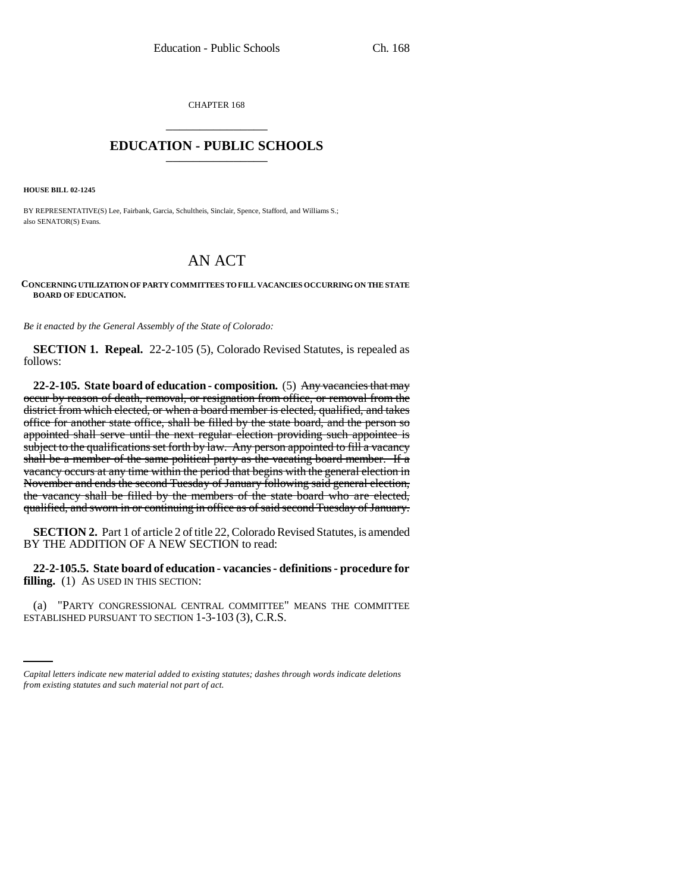CHAPTER 168 \_\_\_\_\_\_\_\_\_\_\_\_\_\_\_

## **EDUCATION - PUBLIC SCHOOLS** \_\_\_\_\_\_\_\_\_\_\_\_\_\_\_

**HOUSE BILL 02-1245**

BY REPRESENTATIVE(S) Lee, Fairbank, Garcia, Schultheis, Sinclair, Spence, Stafford, and Williams S.; also SENATOR(S) Evans.

## AN ACT

## **CONCERNING UTILIZATION OF PARTY COMMITTEES TO FILL VACANCIES OCCURRING ON THE STATE BOARD OF EDUCATION.**

*Be it enacted by the General Assembly of the State of Colorado:*

**SECTION 1. Repeal.** 22-2-105 (5), Colorado Revised Statutes, is repealed as follows:

**22-2-105. State board of education - composition.** (5) Any vacancies that may occur by reason of death, removal, or resignation from office, or removal from the district from which elected, or when a board member is elected, qualified, and takes office for another state office, shall be filled by the state board, and the person so appointed shall serve until the next regular election providing such appointee is subject to the qualifications set forth by law. Any person appointed to fill a vacancy shall be a member of the same political party as the vacating board member. If a vacancy occurs at any time within the period that begins with the general election in November and ends the second Tuesday of January following said general election, the vacancy shall be filled by the members of the state board who are elected, qualified, and sworn in or continuing in office as of said second Tuesday of January.

**SECTION 2.** Part 1 of article 2 of title 22, Colorado Revised Statutes, is amended BY THE ADDITION OF A NEW SECTION to read:

**22-2-105.5. State board of education - vacancies - definitions - procedure for filling.** (1) AS USED IN THIS SECTION:

(a) "PARTY CONGRESSIONAL CENTRAL COMMITTEE" MEANS THE COMMITTEE ESTABLISHED PURSUANT TO SECTION 1-3-103 (3), C.R.S.

*Capital letters indicate new material added to existing statutes; dashes through words indicate deletions from existing statutes and such material not part of act.*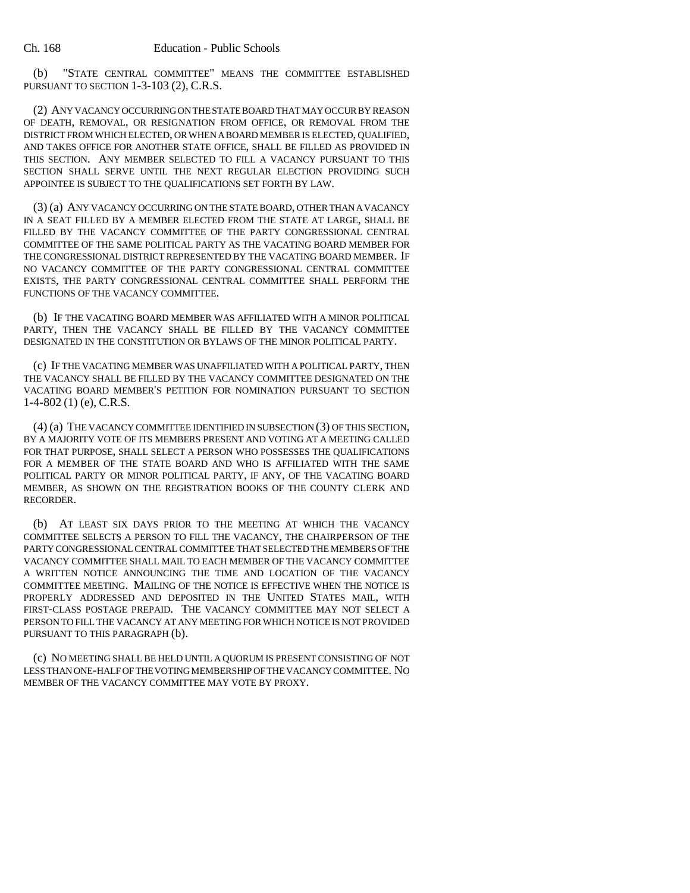(b) "STATE CENTRAL COMMITTEE" MEANS THE COMMITTEE ESTABLISHED PURSUANT TO SECTION 1-3-103 (2), C.R.S.

(2) ANY VACANCY OCCURRING ON THE STATE BOARD THAT MAY OCCUR BY REASON OF DEATH, REMOVAL, OR RESIGNATION FROM OFFICE, OR REMOVAL FROM THE DISTRICT FROM WHICH ELECTED, OR WHEN A BOARD MEMBER IS ELECTED, QUALIFIED, AND TAKES OFFICE FOR ANOTHER STATE OFFICE, SHALL BE FILLED AS PROVIDED IN THIS SECTION. ANY MEMBER SELECTED TO FILL A VACANCY PURSUANT TO THIS SECTION SHALL SERVE UNTIL THE NEXT REGULAR ELECTION PROVIDING SUCH APPOINTEE IS SUBJECT TO THE QUALIFICATIONS SET FORTH BY LAW.

(3) (a) ANY VACANCY OCCURRING ON THE STATE BOARD, OTHER THAN A VACANCY IN A SEAT FILLED BY A MEMBER ELECTED FROM THE STATE AT LARGE, SHALL BE FILLED BY THE VACANCY COMMITTEE OF THE PARTY CONGRESSIONAL CENTRAL COMMITTEE OF THE SAME POLITICAL PARTY AS THE VACATING BOARD MEMBER FOR THE CONGRESSIONAL DISTRICT REPRESENTED BY THE VACATING BOARD MEMBER. IF NO VACANCY COMMITTEE OF THE PARTY CONGRESSIONAL CENTRAL COMMITTEE EXISTS, THE PARTY CONGRESSIONAL CENTRAL COMMITTEE SHALL PERFORM THE FUNCTIONS OF THE VACANCY COMMITTEE.

(b) IF THE VACATING BOARD MEMBER WAS AFFILIATED WITH A MINOR POLITICAL PARTY, THEN THE VACANCY SHALL BE FILLED BY THE VACANCY COMMITTEE DESIGNATED IN THE CONSTITUTION OR BYLAWS OF THE MINOR POLITICAL PARTY.

(c) IF THE VACATING MEMBER WAS UNAFFILIATED WITH A POLITICAL PARTY, THEN THE VACANCY SHALL BE FILLED BY THE VACANCY COMMITTEE DESIGNATED ON THE VACATING BOARD MEMBER'S PETITION FOR NOMINATION PURSUANT TO SECTION 1-4-802 (1) (e), C.R.S.

(4) (a) THE VACANCY COMMITTEE IDENTIFIED IN SUBSECTION (3) OF THIS SECTION, BY A MAJORITY VOTE OF ITS MEMBERS PRESENT AND VOTING AT A MEETING CALLED FOR THAT PURPOSE, SHALL SELECT A PERSON WHO POSSESSES THE QUALIFICATIONS FOR A MEMBER OF THE STATE BOARD AND WHO IS AFFILIATED WITH THE SAME POLITICAL PARTY OR MINOR POLITICAL PARTY, IF ANY, OF THE VACATING BOARD MEMBER, AS SHOWN ON THE REGISTRATION BOOKS OF THE COUNTY CLERK AND RECORDER.

(b) AT LEAST SIX DAYS PRIOR TO THE MEETING AT WHICH THE VACANCY COMMITTEE SELECTS A PERSON TO FILL THE VACANCY, THE CHAIRPERSON OF THE PARTY CONGRESSIONAL CENTRAL COMMITTEE THAT SELECTED THE MEMBERS OF THE VACANCY COMMITTEE SHALL MAIL TO EACH MEMBER OF THE VACANCY COMMITTEE A WRITTEN NOTICE ANNOUNCING THE TIME AND LOCATION OF THE VACANCY COMMITTEE MEETING. MAILING OF THE NOTICE IS EFFECTIVE WHEN THE NOTICE IS PROPERLY ADDRESSED AND DEPOSITED IN THE UNITED STATES MAIL, WITH FIRST-CLASS POSTAGE PREPAID. THE VACANCY COMMITTEE MAY NOT SELECT A PERSON TO FILL THE VACANCY AT ANY MEETING FOR WHICH NOTICE IS NOT PROVIDED PURSUANT TO THIS PARAGRAPH (b).

(c) NO MEETING SHALL BE HELD UNTIL A QUORUM IS PRESENT CONSISTING OF NOT LESS THAN ONE-HALF OF THE VOTING MEMBERSHIP OF THE VACANCY COMMITTEE. NO MEMBER OF THE VACANCY COMMITTEE MAY VOTE BY PROXY.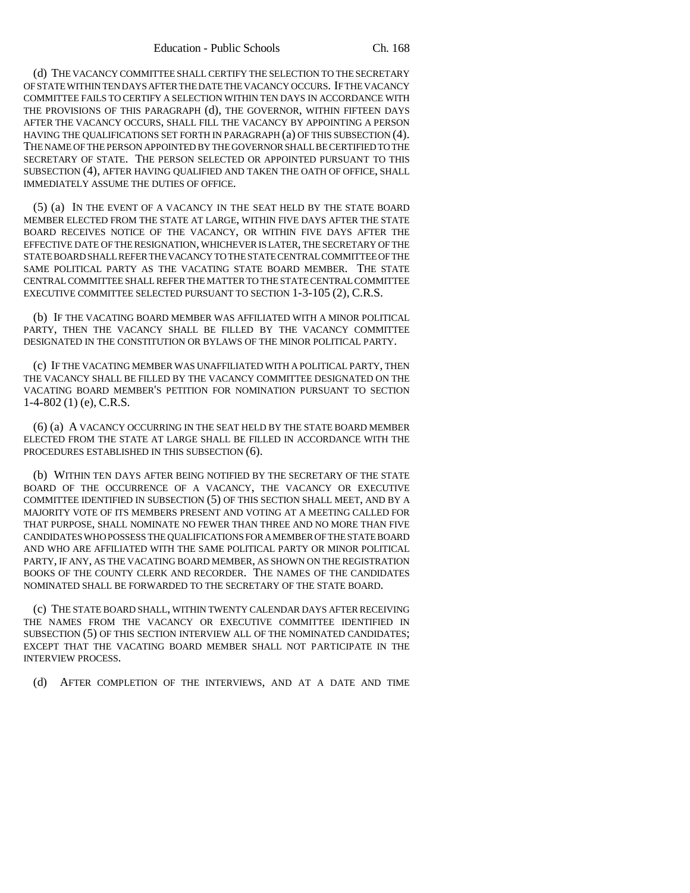(d) THE VACANCY COMMITTEE SHALL CERTIFY THE SELECTION TO THE SECRETARY OF STATE WITHIN TEN DAYS AFTER THE DATE THE VACANCY OCCURS. IF THE VACANCY COMMITTEE FAILS TO CERTIFY A SELECTION WITHIN TEN DAYS IN ACCORDANCE WITH THE PROVISIONS OF THIS PARAGRAPH (d), THE GOVERNOR, WITHIN FIFTEEN DAYS AFTER THE VACANCY OCCURS, SHALL FILL THE VACANCY BY APPOINTING A PERSON HAVING THE QUALIFICATIONS SET FORTH IN PARAGRAPH (a) OF THIS SUBSECTION (4). THE NAME OF THE PERSON APPOINTED BY THE GOVERNOR SHALL BE CERTIFIED TO THE SECRETARY OF STATE. THE PERSON SELECTED OR APPOINTED PURSUANT TO THIS SUBSECTION (4), AFTER HAVING QUALIFIED AND TAKEN THE OATH OF OFFICE, SHALL IMMEDIATELY ASSUME THE DUTIES OF OFFICE.

(5) (a) IN THE EVENT OF A VACANCY IN THE SEAT HELD BY THE STATE BOARD MEMBER ELECTED FROM THE STATE AT LARGE, WITHIN FIVE DAYS AFTER THE STATE BOARD RECEIVES NOTICE OF THE VACANCY, OR WITHIN FIVE DAYS AFTER THE EFFECTIVE DATE OF THE RESIGNATION, WHICHEVER IS LATER, THE SECRETARY OF THE STATE BOARD SHALL REFER THE VACANCY TO THE STATE CENTRAL COMMITTEE OF THE SAME POLITICAL PARTY AS THE VACATING STATE BOARD MEMBER. THE STATE CENTRAL COMMITTEE SHALL REFER THE MATTER TO THE STATE CENTRAL COMMITTEE EXECUTIVE COMMITTEE SELECTED PURSUANT TO SECTION 1-3-105 (2), C.R.S.

(b) IF THE VACATING BOARD MEMBER WAS AFFILIATED WITH A MINOR POLITICAL PARTY, THEN THE VACANCY SHALL BE FILLED BY THE VACANCY COMMITTEE DESIGNATED IN THE CONSTITUTION OR BYLAWS OF THE MINOR POLITICAL PARTY.

(c) IF THE VACATING MEMBER WAS UNAFFILIATED WITH A POLITICAL PARTY, THEN THE VACANCY SHALL BE FILLED BY THE VACANCY COMMITTEE DESIGNATED ON THE VACATING BOARD MEMBER'S PETITION FOR NOMINATION PURSUANT TO SECTION 1-4-802 (1) (e), C.R.S.

(6) (a) A VACANCY OCCURRING IN THE SEAT HELD BY THE STATE BOARD MEMBER ELECTED FROM THE STATE AT LARGE SHALL BE FILLED IN ACCORDANCE WITH THE PROCEDURES ESTABLISHED IN THIS SUBSECTION (6).

(b) WITHIN TEN DAYS AFTER BEING NOTIFIED BY THE SECRETARY OF THE STATE BOARD OF THE OCCURRENCE OF A VACANCY, THE VACANCY OR EXECUTIVE COMMITTEE IDENTIFIED IN SUBSECTION (5) OF THIS SECTION SHALL MEET, AND BY A MAJORITY VOTE OF ITS MEMBERS PRESENT AND VOTING AT A MEETING CALLED FOR THAT PURPOSE, SHALL NOMINATE NO FEWER THAN THREE AND NO MORE THAN FIVE CANDIDATES WHO POSSESS THE QUALIFICATIONS FOR A MEMBER OF THE STATE BOARD AND WHO ARE AFFILIATED WITH THE SAME POLITICAL PARTY OR MINOR POLITICAL PARTY, IF ANY, AS THE VACATING BOARD MEMBER, AS SHOWN ON THE REGISTRATION BOOKS OF THE COUNTY CLERK AND RECORDER. THE NAMES OF THE CANDIDATES NOMINATED SHALL BE FORWARDED TO THE SECRETARY OF THE STATE BOARD.

(c) THE STATE BOARD SHALL, WITHIN TWENTY CALENDAR DAYS AFTER RECEIVING THE NAMES FROM THE VACANCY OR EXECUTIVE COMMITTEE IDENTIFIED IN SUBSECTION (5) OF THIS SECTION INTERVIEW ALL OF THE NOMINATED CANDIDATES; EXCEPT THAT THE VACATING BOARD MEMBER SHALL NOT PARTICIPATE IN THE INTERVIEW PROCESS.

(d) AFTER COMPLETION OF THE INTERVIEWS, AND AT A DATE AND TIME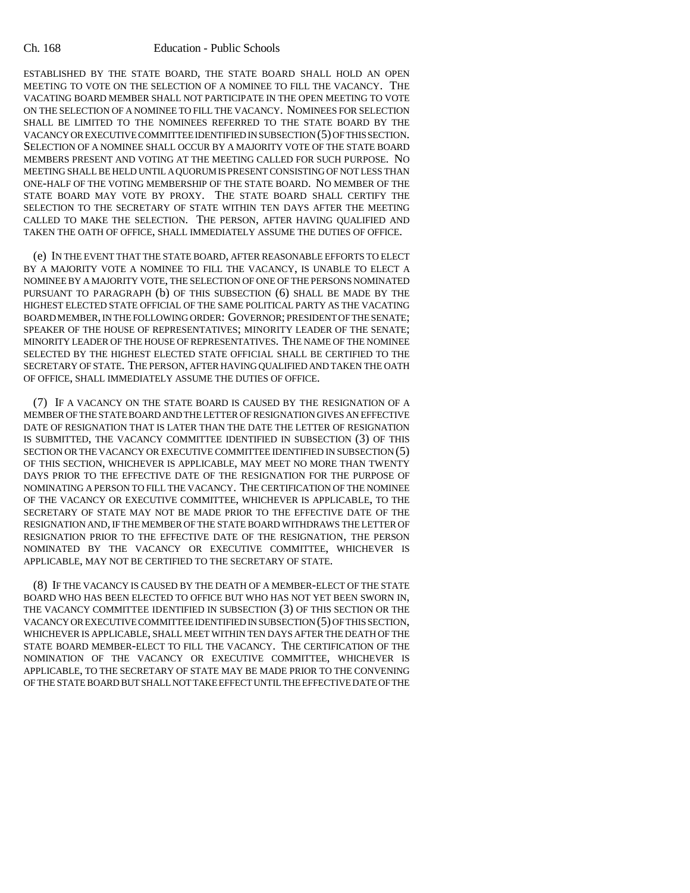## Ch. 168 Education - Public Schools

ESTABLISHED BY THE STATE BOARD, THE STATE BOARD SHALL HOLD AN OPEN MEETING TO VOTE ON THE SELECTION OF A NOMINEE TO FILL THE VACANCY. THE VACATING BOARD MEMBER SHALL NOT PARTICIPATE IN THE OPEN MEETING TO VOTE ON THE SELECTION OF A NOMINEE TO FILL THE VACANCY. NOMINEES FOR SELECTION SHALL BE LIMITED TO THE NOMINEES REFERRED TO THE STATE BOARD BY THE VACANCY OR EXECUTIVE COMMITTEE IDENTIFIED IN SUBSECTION (5) OF THIS SECTION. SELECTION OF A NOMINEE SHALL OCCUR BY A MAJORITY VOTE OF THE STATE BOARD MEMBERS PRESENT AND VOTING AT THE MEETING CALLED FOR SUCH PURPOSE. NO MEETING SHALL BE HELD UNTIL A QUORUM IS PRESENT CONSISTING OF NOT LESS THAN ONE-HALF OF THE VOTING MEMBERSHIP OF THE STATE BOARD. NO MEMBER OF THE STATE BOARD MAY VOTE BY PROXY. THE STATE BOARD SHALL CERTIFY THE SELECTION TO THE SECRETARY OF STATE WITHIN TEN DAYS AFTER THE MEETING CALLED TO MAKE THE SELECTION. THE PERSON, AFTER HAVING QUALIFIED AND TAKEN THE OATH OF OFFICE, SHALL IMMEDIATELY ASSUME THE DUTIES OF OFFICE.

(e) IN THE EVENT THAT THE STATE BOARD, AFTER REASONABLE EFFORTS TO ELECT BY A MAJORITY VOTE A NOMINEE TO FILL THE VACANCY, IS UNABLE TO ELECT A NOMINEE BY A MAJORITY VOTE, THE SELECTION OF ONE OF THE PERSONS NOMINATED PURSUANT TO PARAGRAPH (b) OF THIS SUBSECTION (6) SHALL BE MADE BY THE HIGHEST ELECTED STATE OFFICIAL OF THE SAME POLITICAL PARTY AS THE VACATING BOARD MEMBER, IN THE FOLLOWING ORDER: GOVERNOR; PRESIDENT OF THE SENATE; SPEAKER OF THE HOUSE OF REPRESENTATIVES; MINORITY LEADER OF THE SENATE; MINORITY LEADER OF THE HOUSE OF REPRESENTATIVES. THE NAME OF THE NOMINEE SELECTED BY THE HIGHEST ELECTED STATE OFFICIAL SHALL BE CERTIFIED TO THE SECRETARY OF STATE. THE PERSON, AFTER HAVING QUALIFIED AND TAKEN THE OATH OF OFFICE, SHALL IMMEDIATELY ASSUME THE DUTIES OF OFFICE.

(7) IF A VACANCY ON THE STATE BOARD IS CAUSED BY THE RESIGNATION OF A MEMBER OF THE STATE BOARD AND THE LETTER OF RESIGNATION GIVES AN EFFECTIVE DATE OF RESIGNATION THAT IS LATER THAN THE DATE THE LETTER OF RESIGNATION IS SUBMITTED, THE VACANCY COMMITTEE IDENTIFIED IN SUBSECTION (3) OF THIS SECTION OR THE VACANCY OR EXECUTIVE COMMITTEE IDENTIFIED IN SUBSECTION (5) OF THIS SECTION, WHICHEVER IS APPLICABLE, MAY MEET NO MORE THAN TWENTY DAYS PRIOR TO THE EFFECTIVE DATE OF THE RESIGNATION FOR THE PURPOSE OF NOMINATING A PERSON TO FILL THE VACANCY. THE CERTIFICATION OF THE NOMINEE OF THE VACANCY OR EXECUTIVE COMMITTEE, WHICHEVER IS APPLICABLE, TO THE SECRETARY OF STATE MAY NOT BE MADE PRIOR TO THE EFFECTIVE DATE OF THE RESIGNATION AND, IF THE MEMBER OF THE STATE BOARD WITHDRAWS THE LETTER OF RESIGNATION PRIOR TO THE EFFECTIVE DATE OF THE RESIGNATION, THE PERSON NOMINATED BY THE VACANCY OR EXECUTIVE COMMITTEE, WHICHEVER IS APPLICABLE, MAY NOT BE CERTIFIED TO THE SECRETARY OF STATE.

(8) IF THE VACANCY IS CAUSED BY THE DEATH OF A MEMBER-ELECT OF THE STATE BOARD WHO HAS BEEN ELECTED TO OFFICE BUT WHO HAS NOT YET BEEN SWORN IN, THE VACANCY COMMITTEE IDENTIFIED IN SUBSECTION (3) OF THIS SECTION OR THE VACANCY OR EXECUTIVE COMMITTEE IDENTIFIED IN SUBSECTION (5) OF THIS SECTION, WHICHEVER IS APPLICABLE, SHALL MEET WITHIN TEN DAYS AFTER THE DEATH OF THE STATE BOARD MEMBER-ELECT TO FILL THE VACANCY. THE CERTIFICATION OF THE NOMINATION OF THE VACANCY OR EXECUTIVE COMMITTEE, WHICHEVER IS APPLICABLE, TO THE SECRETARY OF STATE MAY BE MADE PRIOR TO THE CONVENING OF THE STATE BOARD BUT SHALL NOT TAKE EFFECT UNTIL THE EFFECTIVE DATE OF THE